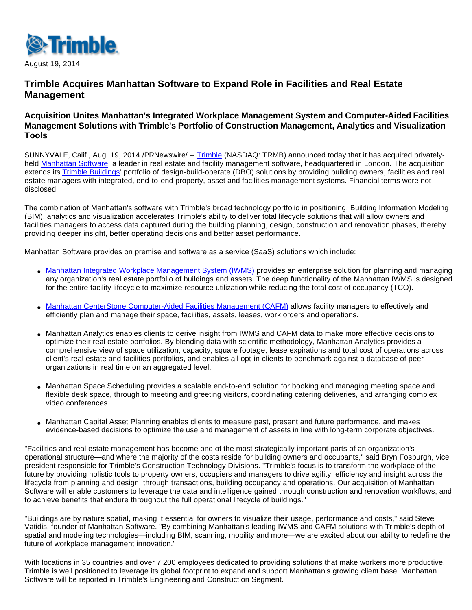

August 19, 2014

# **Trimble Acquires Manhattan Software to Expand Role in Facilities and Real Estate Management**

## **Acquisition Unites Manhattan's Integrated Workplace Management System and Computer-Aided Facilities Management Solutions with Trimble's Portfolio of Construction Management, Analytics and Visualization Tools**

SUNNYVALE, Calif., Aug. 19, 2014 /PRNewswire/ -- [Trimble](http://www.trimble.com/) (NASDAQ: TRMB) announced today that it has acquired privately-held [Manhattan Software](http://www.manhattansoftware.com/), a leader in real estate and facility management software, headquartered in London. The acquisition extends its [Trimble Buildings](http://buildings.trimble.com/)' portfolio of design-build-operate (DBO) solutions by providing building owners, facilities and real estate managers with integrated, end-to-end property, asset and facilities management systems. Financial terms were not disclosed.

The combination of Manhattan's software with Trimble's broad technology portfolio in positioning, Building Information Modeling (BIM), analytics and visualization accelerates Trimble's ability to deliver total lifecycle solutions that will allow owners and facilities managers to access data captured during the building planning, design, construction and renovation phases, thereby providing deeper insight, better operating decisions and better asset performance.

Manhattan Software provides on premise and software as a service (SaaS) solutions which include:

- [Manhattan Integrated Workplace Management System \(IWMS\)](http://www.manhattansoftware.com/solutions/iwms.html) provides an enterprise solution for planning and managing any organization's real estate portfolio of buildings and assets. The deep functionality of the Manhattan IWMS is designed for the entire facility lifecycle to maximize resource utilization while reducing the total cost of occupancy (TCO).
- [Manhattan CenterStone Computer-Aided Facilities Management \(CAFM\)](http://www.manhattansoftware.com/solutions/cafm.html) allows facility managers to effectively and efficiently plan and manage their space, facilities, assets, leases, work orders and operations.
- Manhattan Analytics enables clients to derive insight from IWMS and CAFM data to make more effective decisions to optimize their real estate portfolios. By blending data with scientific methodology, Manhattan Analytics provides a comprehensive view of space utilization, capacity, square footage, lease expirations and total cost of operations across client's real estate and facilities portfolios, and enables all opt-in clients to benchmark against a database of peer organizations in real time on an aggregated level.
- Manhattan Space Scheduling provides a scalable end-to-end solution for booking and managing meeting space and flexible desk space, through to meeting and greeting visitors, coordinating catering deliveries, and arranging complex video conferences.
- Manhattan Capital Asset Planning enables clients to measure past, present and future performance, and makes evidence-based decisions to optimize the use and management of assets in line with long-term corporate objectives.

"Facilities and real estate management has become one of the most strategically important parts of an organization's operational structure—and where the majority of the costs reside for building owners and occupants," said Bryn Fosburgh, vice president responsible for Trimble's Construction Technology Divisions. "Trimble's focus is to transform the workplace of the future by providing holistic tools to property owners, occupiers and managers to drive agility, efficiency and insight across the lifecycle from planning and design, through transactions, building occupancy and operations. Our acquisition of Manhattan Software will enable customers to leverage the data and intelligence gained through construction and renovation workflows, and to achieve benefits that endure throughout the full operational lifecycle of buildings."

"Buildings are by nature spatial, making it essential for owners to visualize their usage, performance and costs," said Steve Vatidis, founder of Manhattan Software. "By combining Manhattan's leading IWMS and CAFM solutions with Trimble's depth of spatial and modeling technologies—including BIM, scanning, mobility and more—we are excited about our ability to redefine the future of workplace management innovation."

With locations in 35 countries and over 7,200 employees dedicated to providing solutions that make workers more productive, Trimble is well positioned to leverage its global footprint to expand and support Manhattan's growing client base. Manhattan Software will be reported in Trimble's Engineering and Construction Segment.